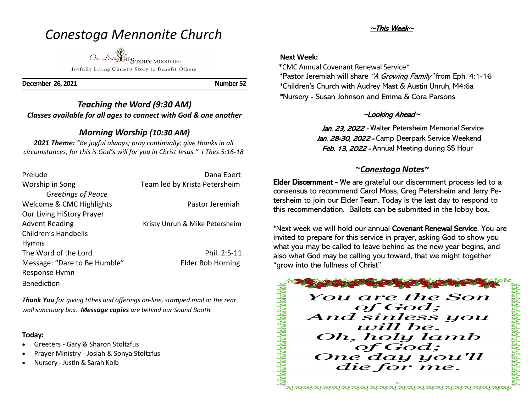# *Conestoga Mennonite Church*

Our Living HISTORY MISSION: Joyfully Living Christ's Story to Benefit Others

**December 26, 2021 Number 52** 

# *Teaching the Word (9:30 AM) Classes available for all ages to connect with God & one another*

# *Morning Worship (10:30 AM)*

*2021 Theme: "Be joyful always; pray continually; give thanks in all circumstances, for this is God's will for you in Christ Jesus." I Thes 5:16-18*

| Prelude                      | Dana Ebert                     |
|------------------------------|--------------------------------|
| Worship in Song              | Team led by Krista Petersheim  |
| Greetings of Peace           |                                |
| Welcome & CMC Highlights     | Pastor Jeremiah                |
| Our Living HiStory Prayer    |                                |
| <b>Advent Reading</b>        | Kristy Unruh & Mike Petersheim |
| Children's Handbells         |                                |
| <b>Hymns</b>                 |                                |
| The Word of the Lord         | Phil. 2:5-11                   |
| Message: "Dare to Be Humble" | <b>Elder Bob Horning</b>       |
| Response Hymn                |                                |
| <b>Benediction</b>           |                                |

*Thank You for giving tithes and offerings on-line, stamped mail or the rear wall sanctuary box. Message copies are behind our Sound Booth.*

## **Today:**

- Greeters Gary & Sharon Stoltzfus
- Prayer Ministry Josiah & Sonya Stoltzfus
- Nursery Justin & Sarah Kolb

# ~This Week~

## **Next Week:**

\*CMC Annual Covenant Renewal Service\*

 \*Pastor Jeremiah will share "A Growing Family" from Eph. 4:1-16 \*Children's Church with Audrey Mast & Austin Unruh, M4:6a \*Nursery - Susan Johnson and Emma & Cora Parsons

# $\sim$ Looking Ahead $\sim$

Jan. 23, 2022 - Walter Petersheim Memorial Service Jan. 28-30, 2022 - Camp Deerpark Service Weekend Feb. 13, 2022 - Annual Meeting during SS Hour

# ~*Conestoga Notes~*

Elder Discernment - We are grateful our discernment process led to a consensus to recommend Carol Moss, Greg Petersheim and Jerry Petersheim to join our Elder Team. Today is the last day to respond to this recommendation. Ballots can be submitted in the lobby box.

\*Next week we will hold our annual Covenant Renewal Service. You are invited to prepare for this service in prayer, asking God to show you what you may be called to leave behind as the new year begins, and also what God may be calling you toward, that we might together "grow into the fullness of Christ".

The process of the contract of

You are the Son of God; And sinless you will be. Oh, holy lamb of God; One day you'll die for me.

<u>UNUNUNUNUNUNUNUNUNUNUNUNUNUNUNUN</u>